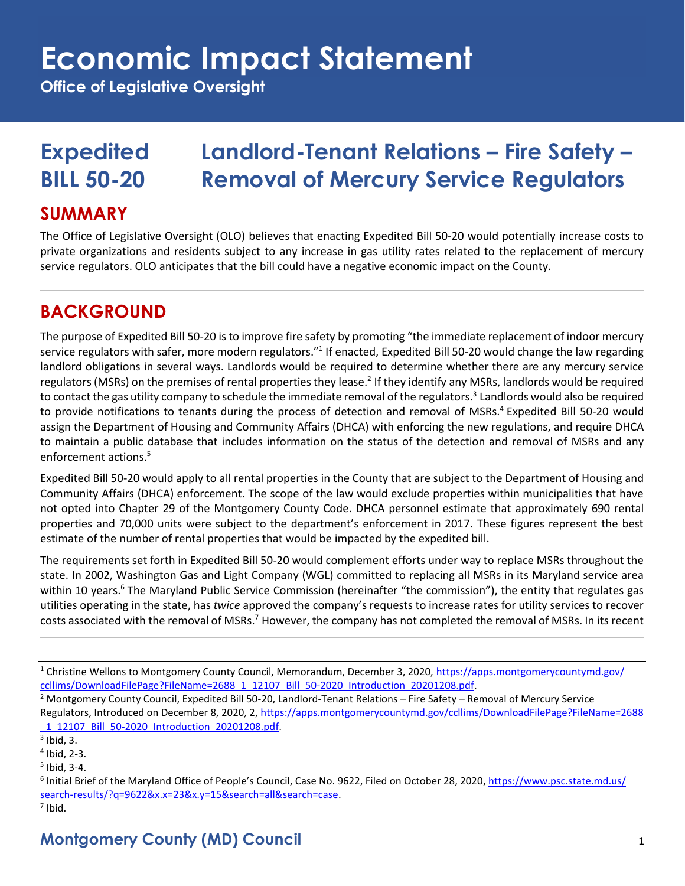**Office of Legislative Oversight**

## **Expedited Landlord-Tenant Relations – Fire Safety – BILL 50-20 Removal of Mercury Service Regulators**

#### **SUMMARY**

The Office of Legislative Oversight (OLO) believes that enacting Expedited Bill 50-20 would potentially increase costs to private organizations and residents subject to any increase in gas utility rates related to the replacement of mercury service regulators. OLO anticipates that the bill could have a negative economic impact on the County.

### **BACKGROUND**

The purpose of Expedited Bill 50-20 is to improve fire safety by promoting "the immediate replacement of indoor mercury service regulators with safer, more modern regulators."<sup>1</sup> If enacted, Expedited Bill 50-20 would change the law regarding landlord obligations in several ways. Landlords would be required to determine whether there are any mercury service regulators (MSRs) on the premises of rental properties they lease.<sup>2</sup> If they identify any MSRs, landlords would be required to contact the gas utility company to schedule the immediate removal of the regulators. 3 Landlords would also be required to provide notifications to tenants during the process of detection and removal of MSRs. <sup>4</sup> Expedited Bill 50-20 would assign the Department of Housing and Community Affairs (DHCA) with enforcing the new regulations, and require DHCA to maintain a public database that includes information on the status of the detection and removal of MSRs and any enforcement actions.<sup>5</sup>

Expedited Bill 50-20 would apply to all rental properties in the County that are subject to the Department of Housing and Community Affairs (DHCA) enforcement. The scope of the law would exclude properties within municipalities that have not opted into Chapter 29 of the Montgomery County Code. DHCA personnel estimate that approximately 690 rental properties and 70,000 units were subject to the department's enforcement in 2017. These figures represent the best estimate of the number of rental properties that would be impacted by the expedited bill.

The requirements set forth in Expedited Bill 50-20 would complement efforts under way to replace MSRs throughout the state. In 2002, Washington Gas and Light Company (WGL) committed to replacing all MSRs in its Maryland service area within 10 years.<sup>6</sup> The Maryland Public Service Commission (hereinafter "the commission"), the entity that regulates gas utilities operating in the state, has *twice* approved the company's requests to increase rates for utility services to recover costs associated with the removal of MSRs.<sup>7</sup> However, the company has not completed the removal of MSRs. In its recent

<sup>&</sup>lt;sup>1</sup> Christine Wellons to Montgomery County Council, Memorandum, December 3, 2020, [https://apps.montgomerycountymd.gov/](https://apps.montgomerycountymd.gov/ccllims/DownloadFilePage?FileName=2688_1_12107_Bill_50-2020_Introduction_20201208.pdf) [ccllims/DownloadFilePage?FileName=2688\\_1\\_12107\\_Bill\\_50-2020\\_Introduction\\_20201208.pdf.](https://apps.montgomerycountymd.gov/ccllims/DownloadFilePage?FileName=2688_1_12107_Bill_50-2020_Introduction_20201208.pdf)

<sup>&</sup>lt;sup>2</sup> Montgomery County Council, Expedited Bill 50-20, Landlord-Tenant Relations – Fire Safety – Removal of Mercury Service Regulators, Introduced on December 8, 2020, 2, [https://apps.montgomerycountymd.gov/ccllims/DownloadFilePage?FileName=2688](https://apps.montgomerycountymd.gov/ccllims/DownloadFilePage?FileName=2688_1_12107_Bill_50-2020_Introduction_20201208.pdf) [\\_1\\_12107\\_Bill\\_50-2020\\_Introduction\\_20201208.pdf.](https://apps.montgomerycountymd.gov/ccllims/DownloadFilePage?FileName=2688_1_12107_Bill_50-2020_Introduction_20201208.pdf) 

 $3$  Ibid, 3.

<sup>4</sup> Ibid, 2-3.

<sup>5</sup> Ibid, 3-4.

<sup>&</sup>lt;sup>6</sup> Initial Brief of the Maryland Office of People's Council, Case No. 9622, Filed on October 28, 2020, <u>https://www.psc.state.md.us/</u> [search-results/?q=9622&x.x=23&x.y=15&search=all&search=case.](https://www.psc.state.md.us/search-results/?q=9622&x.x=23&x.y=15&search=all&search=case)

 $<sup>7</sup>$  Ibid.</sup>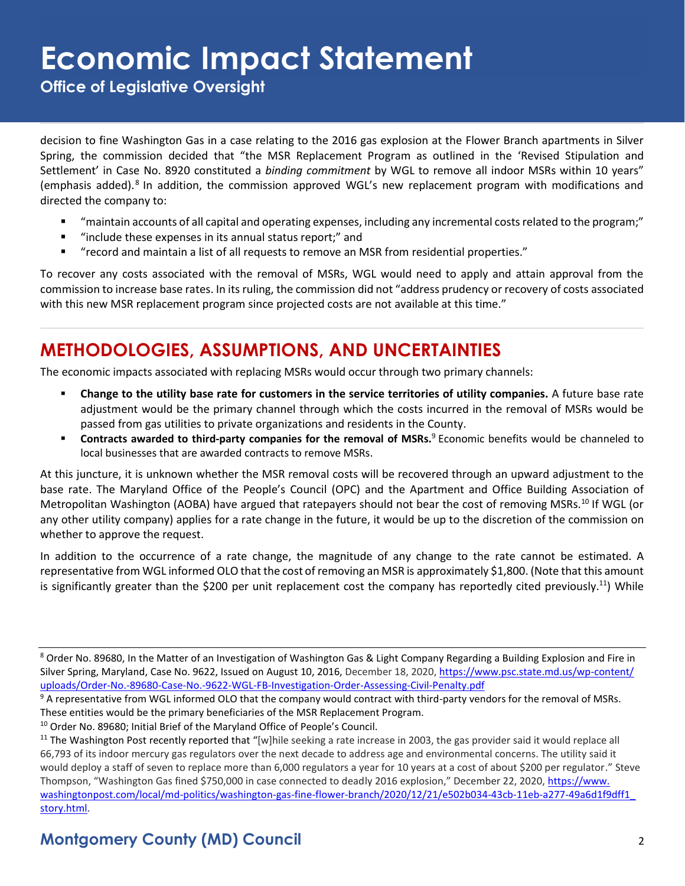**Office of Legislative Oversight**

decision to fine Washington Gas in a case relating to the 2016 gas explosion at the Flower Branch apartments in Silver Spring, the commission decided that "the MSR Replacement Program as outlined in the 'Revised Stipulation and Settlement' in Case No. 8920 constituted a *binding commitment* by WGL to remove all indoor MSRs within 10 years" (emphasis added).<sup>8</sup> In addition, the commission approved WGL's new replacement program with modifications and directed the company to:

- "maintain accounts of all capital and operating expenses, including any incremental costs related to the program;"
- "include these expenses in its annual status report;" and
- "record and maintain a list of all requests to remove an MSR from residential properties."

To recover any costs associated with the removal of MSRs, WGL would need to apply and attain approval from the commission to increase base rates. In its ruling, the commission did not "address prudency or recovery of costs associated with this new MSR replacement program since projected costs are not available at this time."

### **METHODOLOGIES, ASSUMPTIONS, AND UNCERTAINTIES**

The economic impacts associated with replacing MSRs would occur through two primary channels:

- **Change to the utility base rate for customers in the service territories of utility companies.** A future base rate adjustment would be the primary channel through which the costs incurred in the removal of MSRs would be passed from gas utilities to private organizations and residents in the County.
- **Contracts awarded to third-party companies for the removal of MSRs.**<sup>9</sup> Economic benefits would be channeled to local businesses that are awarded contracts to remove MSRs.

At this juncture, it is unknown whether the MSR removal costs will be recovered through an upward adjustment to the base rate. The Maryland Office of the People's Council (OPC) and the Apartment and Office Building Association of Metropolitan Washington (AOBA) have argued that ratepayers should not bear the cost of removing MSRs.<sup>10</sup> If WGL (or any other utility company) applies for a rate change in the future, it would be up to the discretion of the commission on whether to approve the request.

In addition to the occurrence of a rate change, the magnitude of any change to the rate cannot be estimated. A representative from WGL informed OLO that the cost of removing an MSR is approximately \$1,800. (Note that this amount is significantly greater than the \$200 per unit replacement cost the company has reportedly cited previously.<sup>11</sup>) While

#### **Montgomery County (MD) Council** 2

<sup>8</sup> Order No. 89680, In the Matter of an Investigation of Washington Gas & Light Company Regarding a Building Explosion and Fire in Silver Spring, Maryland, Case No. 9622, Issued on August 10, 2016, December 18, 2020, [https://www.psc.state.md.us/wp-content/](https://www.psc.state.md.us/wp-content/uploads/Order-No.-89680-Case-No.-9622-WGL-FB-Investigation-Order-Assessing-Civil-Penalty.pdf) [uploads/Order-No.-89680-Case-No.-9622-WGL-FB-Investigation-Order-Assessing-Civil-Penalty.pdf](https://www.psc.state.md.us/wp-content/uploads/Order-No.-89680-Case-No.-9622-WGL-FB-Investigation-Order-Assessing-Civil-Penalty.pdf)

<sup>&</sup>lt;sup>9</sup> A representative from WGL informed OLO that the company would contract with third-party vendors for the removal of MSRs. These entities would be the primary beneficiaries of the MSR Replacement Program.

<sup>&</sup>lt;sup>10</sup> Order No. 89680; Initial Brief of the Maryland Office of People's Council.

<sup>&</sup>lt;sup>11</sup> The Washington Post recently reported that "[w]hile seeking a rate increase in 2003, the gas provider said it would replace all 66,793 of its indoor mercury gas regulators over the next decade to address age and environmental concerns. The utility said it would deploy a staff of seven to replace more than 6,000 regulators a year for 10 years at a cost of about \$200 per regulator." Steve Thompson, "Washington Gas fined \$750,000 in case connected to deadly 2016 explosion," December 22, 2020, [https://www.](https://www.washingtonpost.com/local/md-politics/washington-gas-fine-flower-branch/2020/12/21/e502b034-43cb-11eb-a277-49a6d1f9dff1_story.html) [washingtonpost.com/local/md-politics/washington-gas-fine-flower-branch/2020/12/21/e502b034-43cb-11eb-a277-49a6d1f9dff1\\_](https://www.washingtonpost.com/local/md-politics/washington-gas-fine-flower-branch/2020/12/21/e502b034-43cb-11eb-a277-49a6d1f9dff1_story.html) [story.html.](https://www.washingtonpost.com/local/md-politics/washington-gas-fine-flower-branch/2020/12/21/e502b034-43cb-11eb-a277-49a6d1f9dff1_story.html)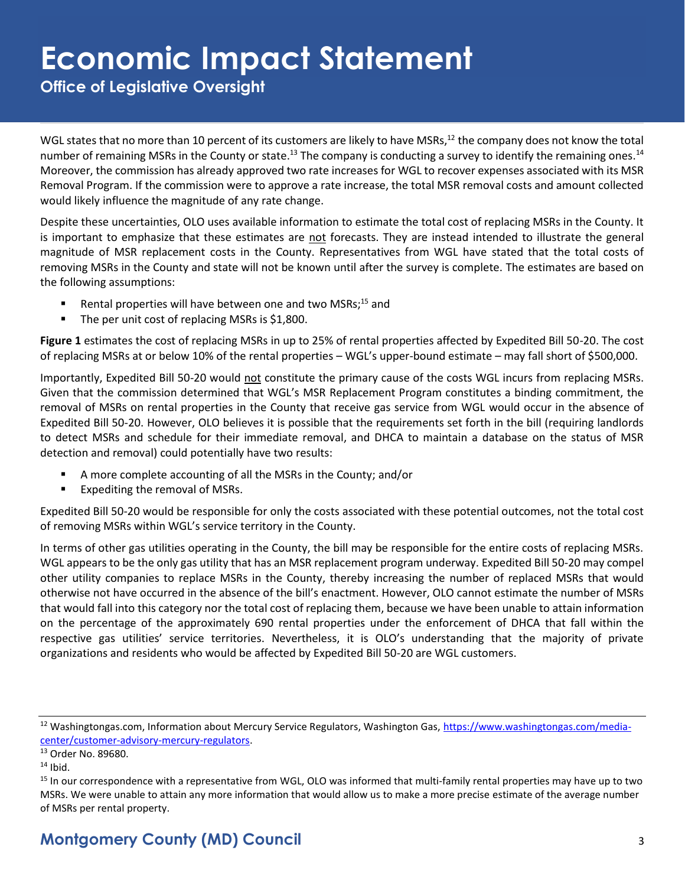**Office of Legislative Oversight**

WGL states that no more than 10 percent of its customers are likely to have MSRs,<sup>12</sup> the company does not know the total number of remaining MSRs in the County or state.<sup>13</sup> The company is conducting a survey to identify the remaining ones.<sup>14</sup> Moreover, the commission has already approved two rate increases for WGL to recover expenses associated with its MSR Removal Program. If the commission were to approve a rate increase, the total MSR removal costs and amount collected would likely influence the magnitude of any rate change.

Despite these uncertainties, OLO uses available information to estimate the total cost of replacing MSRs in the County. It is important to emphasize that these estimates are not forecasts. They are instead intended to illustrate the general magnitude of MSR replacement costs in the County. Representatives from WGL have stated that the total costs of removing MSRs in the County and state will not be known until after the survey is complete. The estimates are based on the following assumptions:

- **E** Rental properties will have between one and two MSRs;<sup>15</sup> and
- The per unit cost of replacing MSRs is \$1,800.

**Figure 1** estimates the cost of replacing MSRs in up to 25% of rental properties affected by Expedited Bill 50-20. The cost of replacing MSRs at or below 10% of the rental properties – WGL's upper-bound estimate – may fall short of \$500,000.

Importantly, Expedited Bill 50-20 would not constitute the primary cause of the costs WGL incurs from replacing MSRs. Given that the commission determined that WGL's MSR Replacement Program constitutes a binding commitment, the removal of MSRs on rental properties in the County that receive gas service from WGL would occur in the absence of Expedited Bill 50-20. However, OLO believes it is possible that the requirements set forth in the bill (requiring landlords to detect MSRs and schedule for their immediate removal, and DHCA to maintain a database on the status of MSR detection and removal) could potentially have two results:

- A more complete accounting of all the MSRs in the County; and/or
- Expediting the removal of MSRs.

Expedited Bill 50-20 would be responsible for only the costs associated with these potential outcomes, not the total cost of removing MSRs within WGL's service territory in the County.

In terms of other gas utilities operating in the County, the bill may be responsible for the entire costs of replacing MSRs. WGL appears to be the only gas utility that has an MSR replacement program underway. Expedited Bill 50-20 may compel other utility companies to replace MSRs in the County, thereby increasing the number of replaced MSRs that would otherwise not have occurred in the absence of the bill's enactment. However, OLO cannot estimate the number of MSRs that would fall into this category nor the total cost of replacing them, because we have been unable to attain information on the percentage of the approximately 690 rental properties under the enforcement of DHCA that fall within the respective gas utilities' service territories. Nevertheless, it is OLO's understanding that the majority of private organizations and residents who would be affected by Expedited Bill 50-20 are WGL customers.

<sup>&</sup>lt;sup>12</sup> Washingtongas.com, Information about Mercury Service Regulators, Washington Gas, [https://www.washingtongas.com/media](https://www.washingtongas.com/media-center/customer-advisory-mercury-regulators)[center/customer-advisory-mercury-regulators.](https://www.washingtongas.com/media-center/customer-advisory-mercury-regulators) 

<sup>13</sup> Order No. 89680.

 $14$  Ibid.

<sup>&</sup>lt;sup>15</sup> In our correspondence with a representative from WGL, OLO was informed that multi-family rental properties may have up to two MSRs. We were unable to attain any more information that would allow us to make a more precise estimate of the average number of MSRs per rental property.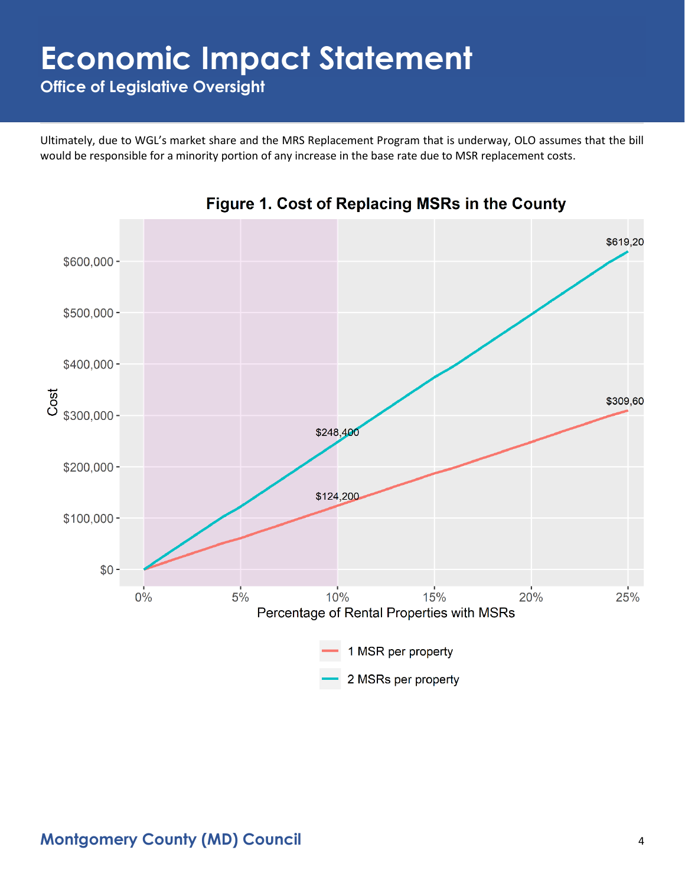**Office of Legislative Oversight**

Ultimately, due to WGL's market share and the MRS Replacement Program that is underway, OLO assumes that the bill would be responsible for a minority portion of any increase in the base rate due to MSR replacement costs.



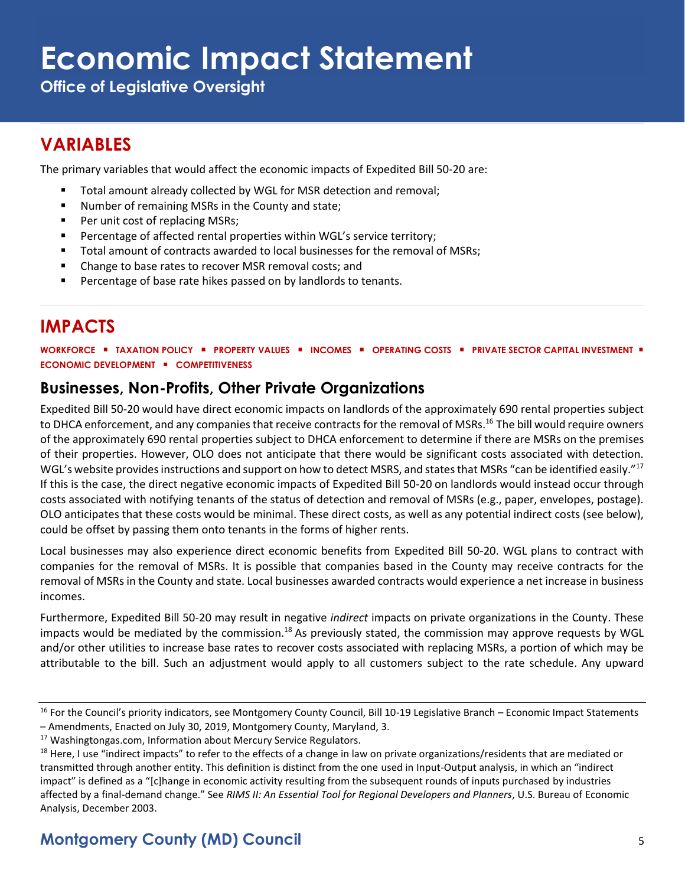**Office of Legislative Oversight**

### **VARIABLES**

The primary variables that would affect the economic impacts of Expedited Bill 50-20 are:

- Total amount already collected by WGL for MSR detection and removal;
- Number of remaining MSRs in the County and state;
- Per unit cost of replacing MSRs;
- Percentage of affected rental properties within WGL's service territory;
- Total amount of contracts awarded to local businesses for the removal of MSRs;
- Change to base rates to recover MSR removal costs; and
- Percentage of base rate hikes passed on by landlords to tenants.

### **IMPACTS**

**WORKFORCE** ▪ **TAXATION POLICY** ▪ **PROPERTY VALUES** ▪ **INCOMES** ▪ **OPERATING COSTS** ▪ **PRIVATE SECTOR CAPITAL INVESTMENT** ▪ **ECONOMIC DEVELOPMENT** ▪ **COMPETITIVENESS**

#### **Businesses, Non-Profits, Other Private Organizations**

Expedited Bill 50-20 would have direct economic impacts on landlords of the approximately 690 rental properties subject to DHCA enforcement, and any companies that receive contracts for the removal of MSRs.<sup>16</sup> The bill would require owners of the approximately 690 rental properties subject to DHCA enforcement to determine if there are MSRs on the premises of their properties. However, OLO does not anticipate that there would be significant costs associated with detection. WGL's website provides instructions and support on how to detect MSRS, and states that MSRs "can be identified easily."<sup>17</sup> If this is the case, the direct negative economic impacts of Expedited Bill 50-20 on landlords would instead occur through costs associated with notifying tenants of the status of detection and removal of MSRs (e.g., paper, envelopes, postage). OLO anticipates that these costs would be minimal. These direct costs, as well as any potential indirect costs (see below), could be offset by passing them onto tenants in the forms of higher rents.

Local businesses may also experience direct economic benefits from Expedited Bill 50-20. WGL plans to contract with companies for the removal of MSRs. It is possible that companies based in the County may receive contracts for the removal of MSRs in the County and state. Local businesses awarded contracts would experience a net increase in business incomes.

Furthermore, Expedited Bill 50-20 may result in negative *indirect* impacts on private organizations in the County. These impacts would be mediated by the commission.<sup>18</sup> As previously stated, the commission may approve requests by WGL and/or other utilities to increase base rates to recover costs associated with replacing MSRs, a portion of which may be attributable to the bill. Such an adjustment would apply to all customers subject to the rate schedule. Any upward

<sup>&</sup>lt;sup>16</sup> For the Council's priority indicators, see Montgomery County Council, Bill 10-19 Legislative Branch – Economic Impact Statements – Amendments, Enacted on July 30, 2019, Montgomery County, Maryland, 3.

<sup>&</sup>lt;sup>17</sup> Washingtongas.com, Information about Mercury Service Regulators.

<sup>&</sup>lt;sup>18</sup> Here, I use "indirect impacts" to refer to the effects of a change in law on private organizations/residents that are mediated or transmitted through another entity. This definition is distinct from the one used in Input-Output analysis, in which an "indirect impact" is defined as a "[c]hange in economic activity resulting from the subsequent rounds of inputs purchased by industries affected by a final‐demand change." See *RIMS II: An Essential Tool for Regional Developers and Planners*, U.S. Bureau of Economic Analysis, December 2003.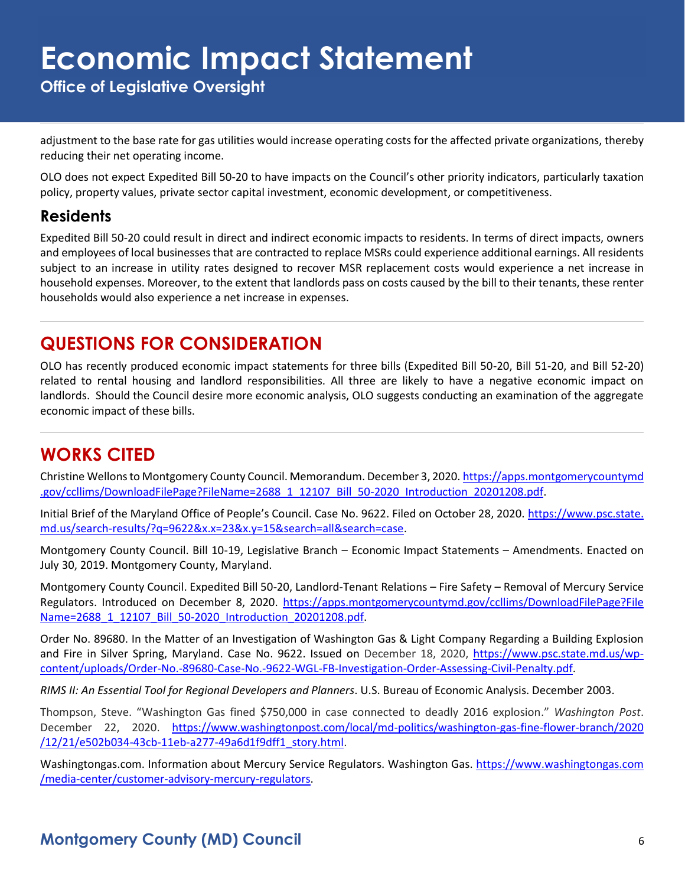**Office of Legislative Oversight**

adjustment to the base rate for gas utilities would increase operating costs for the affected private organizations, thereby reducing their net operating income.

OLO does not expect Expedited Bill 50-20 to have impacts on the Council's other priority indicators, particularly taxation policy, property values, private sector capital investment, economic development, or competitiveness.

#### **Residents**

Expedited Bill 50-20 could result in direct and indirect economic impacts to residents. In terms of direct impacts, owners and employees of local businesses that are contracted to replace MSRs could experience additional earnings. All residents subject to an increase in utility rates designed to recover MSR replacement costs would experience a net increase in household expenses. Moreover, to the extent that landlords pass on costs caused by the bill to their tenants, these renter households would also experience a net increase in expenses.

#### **QUESTIONS FOR CONSIDERATION**

OLO has recently produced economic impact statements for three bills (Expedited Bill 50-20, Bill 51-20, and Bill 52-20) related to rental housing and landlord responsibilities. All three are likely to have a negative economic impact on landlords. Should the Council desire more economic analysis, OLO suggests conducting an examination of the aggregate economic impact of these bills.

### **WORKS CITED**

Christine Wellons to Montgomery County Council. Memorandum. December 3, 2020[. https://apps.montgomerycountymd](https://apps.montgomerycountymd.gov/ccllims/DownloadFilePage?FileName=2688_1_12107_Bill_50-2020_Introduction_20201208.pdf) [.gov/ccllims/DownloadFilePage?FileName=2688\\_1\\_12107\\_Bill\\_50-2020\\_Introduction\\_20201208.pdf.](https://apps.montgomerycountymd.gov/ccllims/DownloadFilePage?FileName=2688_1_12107_Bill_50-2020_Introduction_20201208.pdf)

Initial Brief of the Maryland Office of People's Council. Case No. 9622. Filed on October 28, 2020. [https://www.psc.state.](https://www.psc.state.md.us/search-results/?q=9622&x.x=23&x.y=15&search=all&search=case) [md.us/search-results/?q=9622&x.x=23&x.y=15&search=all&search=case.](https://www.psc.state.md.us/search-results/?q=9622&x.x=23&x.y=15&search=all&search=case)

Montgomery County Council. Bill 10-19, Legislative Branch – Economic Impact Statements – Amendments. Enacted on July 30, 2019. Montgomery County, Maryland.

Montgomery County Council. Expedited Bill 50-20, Landlord-Tenant Relations – Fire Safety – Removal of Mercury Service Regulators. Introduced on December 8, 2020. [https://apps.montgomerycountymd.gov/ccllims/DownloadFilePage?File](https://apps.montgomerycountymd.gov/ccllims/DownloadFilePage?FileName=2688_1_12107_Bill_50-2020_Introduction_20201208.pdf) [Name=2688\\_1\\_12107\\_Bill\\_50-2020\\_Introduction\\_20201208.pdf.](https://apps.montgomerycountymd.gov/ccllims/DownloadFilePage?FileName=2688_1_12107_Bill_50-2020_Introduction_20201208.pdf)

Order No. 89680. In the Matter of an Investigation of Washington Gas & Light Company Regarding a Building Explosion and Fire in Silver Spring, Maryland. Case No. 9622. Issued on December 18, 2020, [https://www.psc.state.md.us/wp](https://www.psc.state.md.us/wp-content/uploads/Order-No.-89680-Case-No.-9622-WGL-FB-Investigation-Order-Assessing-Civil-Penalty.pdf)[content/uploads/Order-No.-89680-Case-No.-9622-WGL-FB-Investigation-Order-Assessing-Civil-Penalty.pdf.](https://www.psc.state.md.us/wp-content/uploads/Order-No.-89680-Case-No.-9622-WGL-FB-Investigation-Order-Assessing-Civil-Penalty.pdf)

*RIMS II: An Essential Tool for Regional Developers and Planners*. U.S. Bureau of Economic Analysis. December 2003.

Thompson, Steve. "Washington Gas fined \$750,000 in case connected to deadly 2016 explosion." *Washington Post*. December 22, 2020. [https://www.washingtonpost.com/local/md-politics/washington-gas-fine-flower-branch/2020](https://www.washingtonpost.com/local/md-politics/washington-gas-fine-flower-branch/2020/12/21/e502b034-43cb-11eb-a277-49a6d1f9dff1_story.html) [/12/21/e502b034-43cb-11eb-a277-49a6d1f9dff1\\_story.html.](https://www.washingtonpost.com/local/md-politics/washington-gas-fine-flower-branch/2020/12/21/e502b034-43cb-11eb-a277-49a6d1f9dff1_story.html)

Washingtongas.com. Information about Mercury Service Regulators. Washington Gas. [https://www.washingtongas.com](https://www.washingtongas.com/media-center/customer-advisory-mercury-regulators) [/media-center/customer-advisory-mercury-regulators.](https://www.washingtongas.com/media-center/customer-advisory-mercury-regulators)

### **Montgomery County (MD) Council** 6